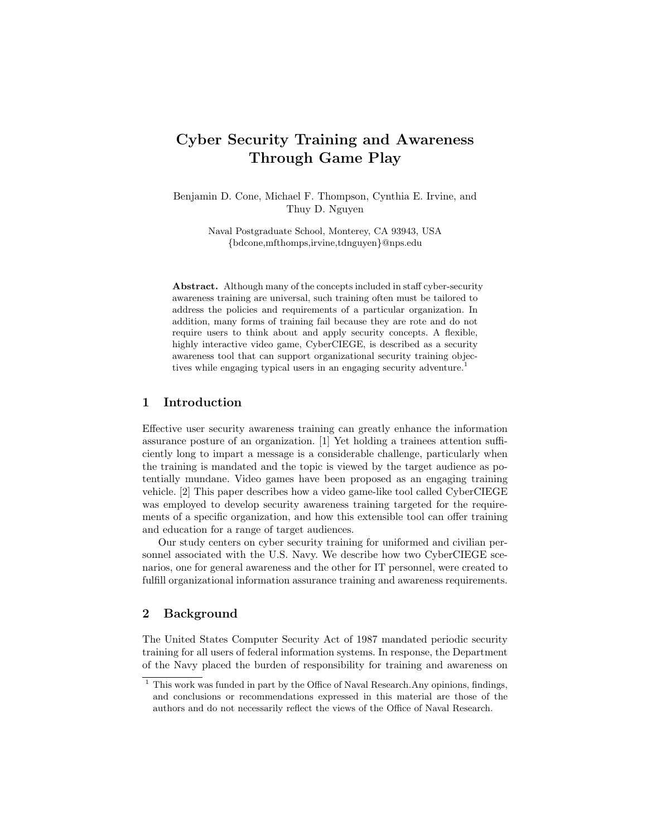# Cyber Security Training and Awareness Through Game Play

Benjamin D. Cone, Michael F. Thompson, Cynthia E. Irvine, and Thuy D. Nguyen

> Naval Postgraduate School, Monterey, CA 93943, USA {bdcone,mfthomps,irvine,tdnguyen}@nps.edu

Abstract. Although many of the concepts included in staff cyber-security awareness training are universal, such training often must be tailored to address the policies and requirements of a particular organization. In addition, many forms of training fail because they are rote and do not require users to think about and apply security concepts. A flexible, highly interactive video game, CyberCIEGE, is described as a security awareness tool that can support organizational security training objectives while engaging typical users in an engaging security adventure.<sup>1</sup>

# 1 Introduction

Effective user security awareness training can greatly enhance the information assurance posture of an organization. [1] Yet holding a trainees attention sufficiently long to impart a message is a considerable challenge, particularly when the training is mandated and the topic is viewed by the target audience as potentially mundane. Video games have been proposed as an engaging training vehicle. [2] This paper describes how a video game-like tool called CyberCIEGE was employed to develop security awareness training targeted for the requirements of a specific organization, and how this extensible tool can offer training and education for a range of target audiences.

Our study centers on cyber security training for uniformed and civilian personnel associated with the U.S. Navy. We describe how two CyberCIEGE scenarios, one for general awareness and the other for IT personnel, were created to fulfill organizational information assurance training and awareness requirements.

## 2 Background

The United States Computer Security Act of 1987 mandated periodic security training for all users of federal information systems. In response, the Department of the Navy placed the burden of responsibility for training and awareness on

 $1$  This work was funded in part by the Office of Naval Research. Any opinions, findings, and conclusions or recommendations expressed in this material are those of the authors and do not necessarily reflect the views of the Office of Naval Research.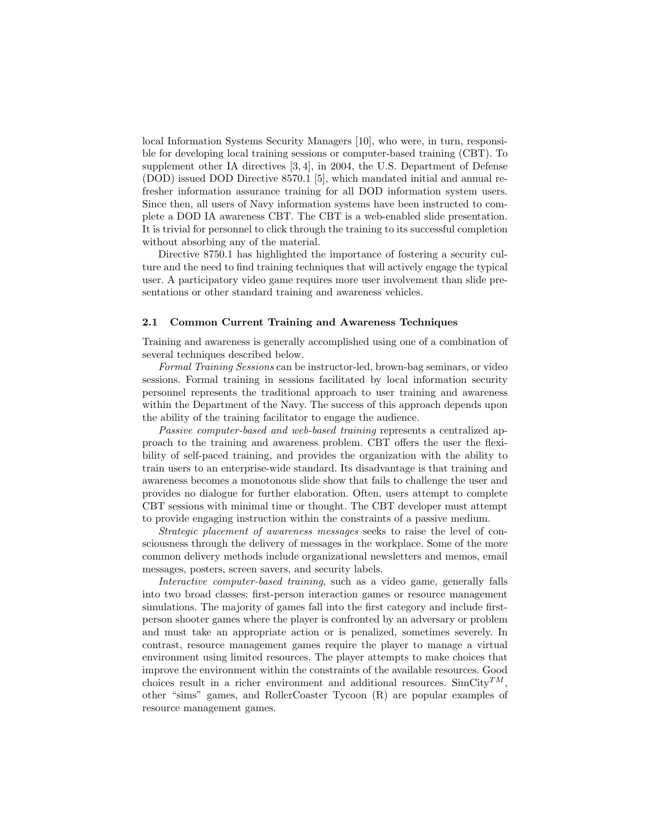local Information Systems Security Managers [10], who were, in turn, responsible for developing local training sessions or computer-based training (CBT). To supplement other IA directives [3, 4], in 2004, the U.S. Department of Defense (DOD) issued DOD Directive 8570.1 [5], which mandated initial and annual refresher information assurance training for all DOD information system users. Since then, all users of Navy information systems have been instructed to complete a DOD IA awareness CBT. The CBT is a web-enabled slide presentation. It is trivial for personnel to click through the training to its successful completion without absorbing any of the material.

Directive 8750.1 has highlighted the importance of fostering a security culture and the need to find training techniques that will actively engage the typical user. A participatory video game requires more user involvement than slide presentations or other standard training and awareness vehicles.

#### 2.1 Common Current Training and Awareness Techniques

Training and awareness is generally accomplished using one of a combination of several techniques described below.

Formal Training Sessions can be instructor-led, brown-bag seminars, or video sessions. Formal training in sessions facilitated by local information security personnel represents the traditional approach to user training and awareness within the Department of the Navy. The success of this approach depends upon the ability of the training facilitator to engage the audience.

Passive computer-based and web-based training represents a centralized approach to the training and awareness problem. CBT offers the user the flexibility of self-paced training, and provides the organization with the ability to train users to an enterprise-wide standard. Its disadvantage is that training and awareness becomes a monotonous slide show that fails to challenge the user and provides no dialogue for further elaboration. Often, users attempt to complete CBT sessions with minimal time or thought. The CBT developer must attempt to provide engaging instruction within the constraints of a passive medium.

Strategic placement of awareness messages seeks to raise the level of consciousness through the delivery of messages in the workplace. Some of the more common delivery methods include organizational newsletters and memos, email messages, posters, screen savers, and security labels.

Interactive computer-based training, such as a video game, generally falls into two broad classes: first-person interaction games or resource management simulations. The majority of games fall into the first category and include firstperson shooter games where the player is confronted by an adversary or problem and must take an appropriate action or is penalized, sometimes severely. In contrast, resource management games require the player to manage a virtual environment using limited resources. The player attempts to make choices that improve the environment within the constraints of the available resources. Good choices result in a richer environment and additional resources. SimCity<sup>TM</sup>, other "sims" games, and RollerCoaster Tycoon (R) are popular examples of resource management games.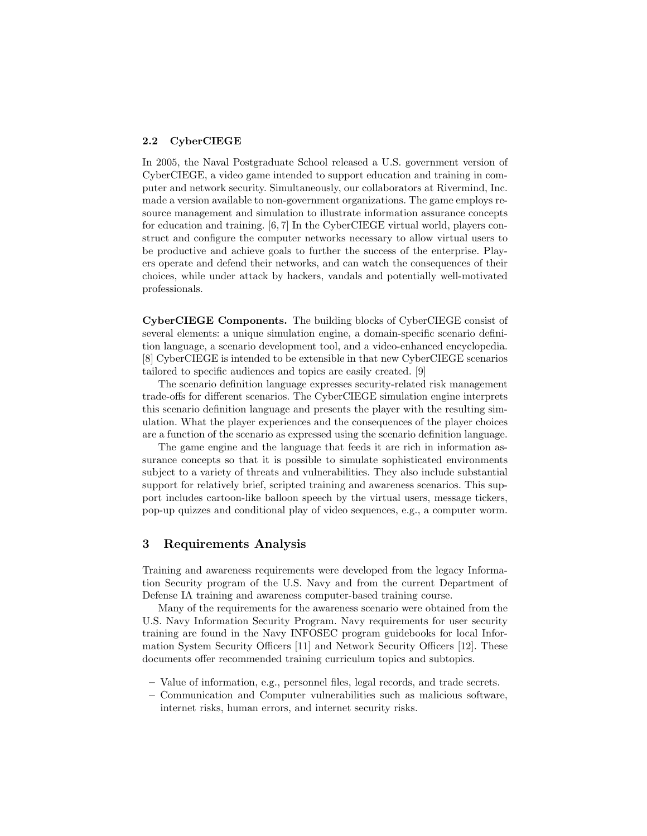#### 2.2 CyberCIEGE

In 2005, the Naval Postgraduate School released a U.S. government version of CyberCIEGE, a video game intended to support education and training in computer and network security. Simultaneously, our collaborators at Rivermind, Inc. made a version available to non-government organizations. The game employs resource management and simulation to illustrate information assurance concepts for education and training. [6, 7] In the CyberCIEGE virtual world, players construct and configure the computer networks necessary to allow virtual users to be productive and achieve goals to further the success of the enterprise. Players operate and defend their networks, and can watch the consequences of their choices, while under attack by hackers, vandals and potentially well-motivated professionals.

CyberCIEGE Components. The building blocks of CyberCIEGE consist of several elements: a unique simulation engine, a domain-specific scenario definition language, a scenario development tool, and a video-enhanced encyclopedia. [8] CyberCIEGE is intended to be extensible in that new CyberCIEGE scenarios tailored to specific audiences and topics are easily created. [9]

The scenario definition language expresses security-related risk management trade-offs for different scenarios. The CyberCIEGE simulation engine interprets this scenario definition language and presents the player with the resulting simulation. What the player experiences and the consequences of the player choices are a function of the scenario as expressed using the scenario definition language.

The game engine and the language that feeds it are rich in information assurance concepts so that it is possible to simulate sophisticated environments subject to a variety of threats and vulnerabilities. They also include substantial support for relatively brief, scripted training and awareness scenarios. This support includes cartoon-like balloon speech by the virtual users, message tickers, pop-up quizzes and conditional play of video sequences, e.g., a computer worm.

#### 3 Requirements Analysis

Training and awareness requirements were developed from the legacy Information Security program of the U.S. Navy and from the current Department of Defense IA training and awareness computer-based training course.

Many of the requirements for the awareness scenario were obtained from the U.S. Navy Information Security Program. Navy requirements for user security training are found in the Navy INFOSEC program guidebooks for local Information System Security Officers [11] and Network Security Officers [12]. These documents offer recommended training curriculum topics and subtopics.

- Value of information, e.g., personnel files, legal records, and trade secrets.
- Communication and Computer vulnerabilities such as malicious software, internet risks, human errors, and internet security risks.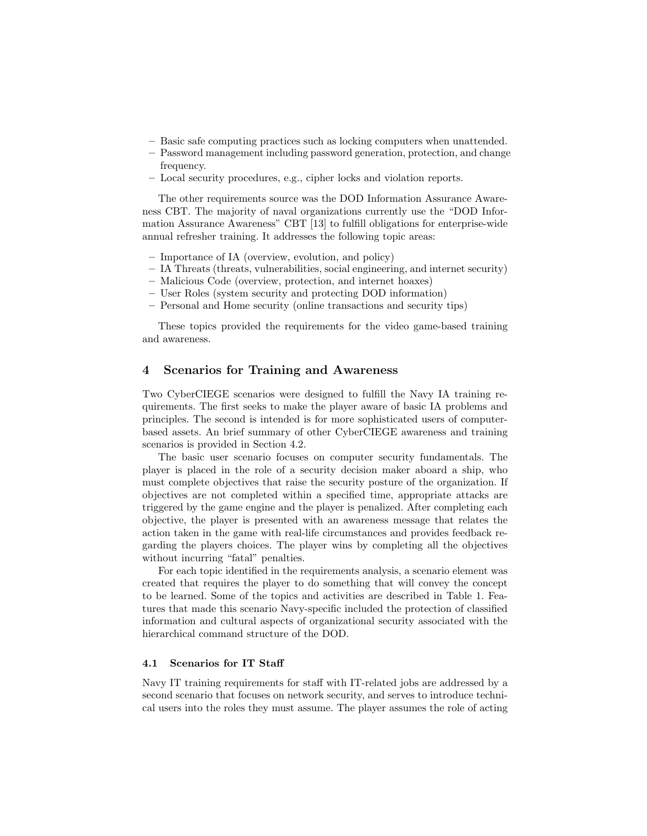- Basic safe computing practices such as locking computers when unattended.
- Password management including password generation, protection, and change frequency.
- Local security procedures, e.g., cipher locks and violation reports.

The other requirements source was the DOD Information Assurance Awareness CBT. The majority of naval organizations currently use the "DOD Information Assurance Awareness" CBT [13] to fulfill obligations for enterprise-wide annual refresher training. It addresses the following topic areas:

- Importance of IA (overview, evolution, and policy)
- IA Threats (threats, vulnerabilities, social engineering, and internet security)
- Malicious Code (overview, protection, and internet hoaxes)
- User Roles (system security and protecting DOD information)
- Personal and Home security (online transactions and security tips)

These topics provided the requirements for the video game-based training and awareness.

## 4 Scenarios for Training and Awareness

Two CyberCIEGE scenarios were designed to fulfill the Navy IA training requirements. The first seeks to make the player aware of basic IA problems and principles. The second is intended is for more sophisticated users of computerbased assets. An brief summary of other CyberCIEGE awareness and training scenarios is provided in Section 4.2.

The basic user scenario focuses on computer security fundamentals. The player is placed in the role of a security decision maker aboard a ship, who must complete objectives that raise the security posture of the organization. If objectives are not completed within a specified time, appropriate attacks are triggered by the game engine and the player is penalized. After completing each objective, the player is presented with an awareness message that relates the action taken in the game with real-life circumstances and provides feedback regarding the players choices. The player wins by completing all the objectives without incurring "fatal" penalties.

For each topic identified in the requirements analysis, a scenario element was created that requires the player to do something that will convey the concept to be learned. Some of the topics and activities are described in Table 1. Features that made this scenario Navy-specific included the protection of classified information and cultural aspects of organizational security associated with the hierarchical command structure of the DOD.

#### 4.1 Scenarios for IT Staff

Navy IT training requirements for staff with IT-related jobs are addressed by a second scenario that focuses on network security, and serves to introduce technical users into the roles they must assume. The player assumes the role of acting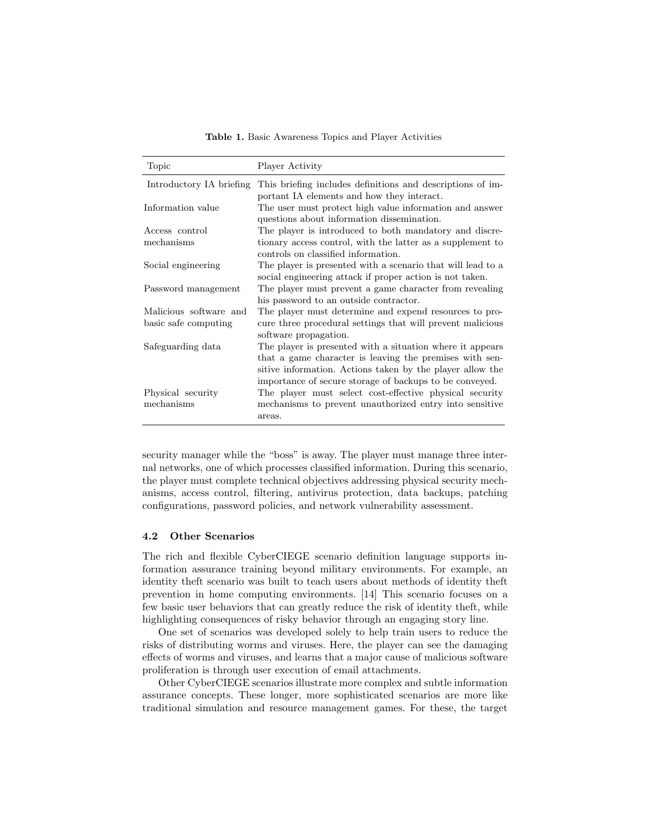Table 1. Basic Awareness Topics and Player Activities

| Topic                    | Player Activity                                                                                                                                                                                                                              |
|--------------------------|----------------------------------------------------------------------------------------------------------------------------------------------------------------------------------------------------------------------------------------------|
| Introductory IA briefing | This briefing includes definitions and descriptions of im-<br>portant IA elements and how they interact.                                                                                                                                     |
| Information value        | The user must protect high value information and answer<br>questions about information dissemination.                                                                                                                                        |
| Access control           | The player is introduced to both mandatory and discre-                                                                                                                                                                                       |
| mechanisms               | tionary access control, with the latter as a supplement to<br>controls on classified information.                                                                                                                                            |
| Social engineering       | The player is presented with a scenario that will lead to a<br>social engineering attack if proper action is not taken.                                                                                                                      |
| Password management      | The player must prevent a game character from revealing<br>his password to an outside contractor.                                                                                                                                            |
| Malicious software and   | The player must determine and expend resources to pro-                                                                                                                                                                                       |
| basic safe computing     | cure three procedural settings that will prevent malicious<br>software propagation.                                                                                                                                                          |
| Safeguarding data        | The player is presented with a situation where it appears<br>that a game character is leaving the premises with sen-<br>sitive information. Actions taken by the player allow the<br>importance of secure storage of backups to be conveyed. |
| Physical security        | The player must select cost-effective physical security                                                                                                                                                                                      |
| mechanisms               | mechanisms to prevent unauthorized entry into sensitive<br>areas.                                                                                                                                                                            |

security manager while the "boss" is away. The player must manage three internal networks, one of which processes classified information. During this scenario, the player must complete technical objectives addressing physical security mechanisms, access control, filtering, antivirus protection, data backups, patching configurations, password policies, and network vulnerability assessment.

#### 4.2 Other Scenarios

The rich and flexible CyberCIEGE scenario definition language supports information assurance training beyond military environments. For example, an identity theft scenario was built to teach users about methods of identity theft prevention in home computing environments. [14] This scenario focuses on a few basic user behaviors that can greatly reduce the risk of identity theft, while highlighting consequences of risky behavior through an engaging story line.

One set of scenarios was developed solely to help train users to reduce the risks of distributing worms and viruses. Here, the player can see the damaging effects of worms and viruses, and learns that a major cause of malicious software proliferation is through user execution of email attachments.

Other CyberCIEGE scenarios illustrate more complex and subtle information assurance concepts. These longer, more sophisticated scenarios are more like traditional simulation and resource management games. For these, the target